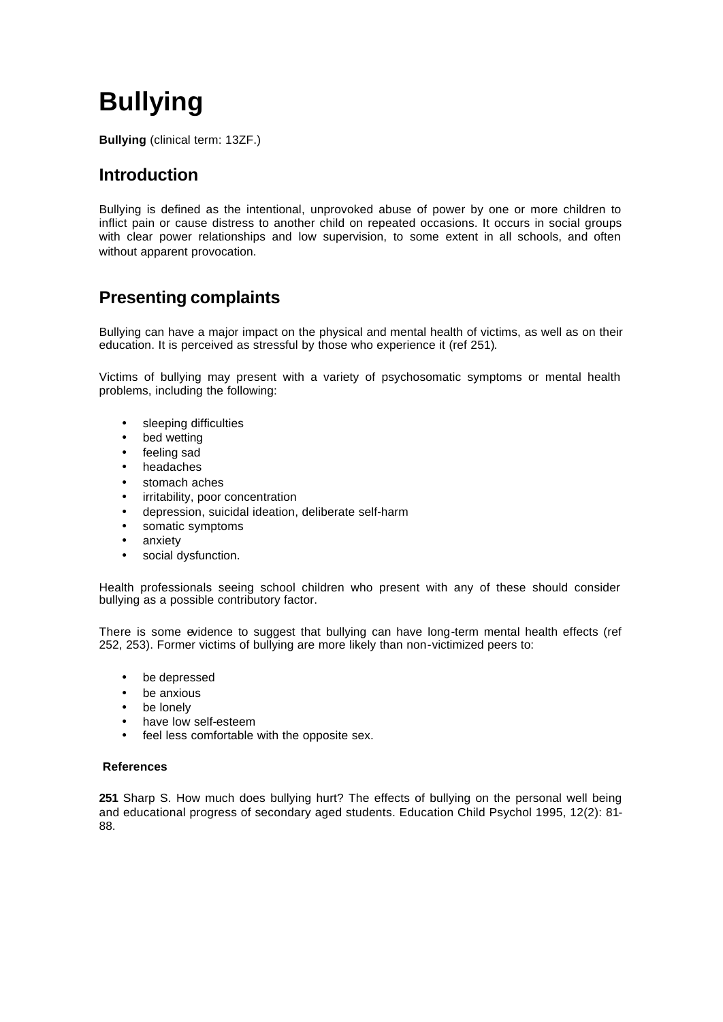# **Bullying**

**Bullying** (clinical term: 13ZF.)

### **Introduction**

Bullying is defined as the intentional, unprovoked abuse of power by one or more children to inflict pain or cause distress to another child on repeated occasions. It occurs in social groups with clear power relationships and low supervision, to some extent in all schools, and often without apparent provocation.

# **Presenting complaints**

Bullying can have a major impact on the physical and mental health of victims, as well as on their education. It is perceived as stressful by those who experience it (ref 251).

Victims of bullying may present with a variety of psychosomatic symptoms or mental health problems, including the following:

- sleeping difficulties
- bed wetting
- feeling sad
- headaches
- stomach aches
- irritability, poor concentration
- depression, suicidal ideation, deliberate self-harm
- somatic symptoms
- anxiety
- social dysfunction.

Health professionals seeing school children who present with any of these should consider bullying as a possible contributory factor.

There is some evidence to suggest that bullying can have long-term mental health effects (ref 252, 253). Former victims of bullying are more likely than non-victimized peers to:

- be depressed
- be anxious
- be lonely
- have low self-esteem
- feel less comfortable with the opposite sex.

#### **References**

**251** Sharp S. How much does bullying hurt? The effects of bullying on the personal well being and educational progress of secondary aged students. Education Child Psychol 1995, 12(2): 81- 88.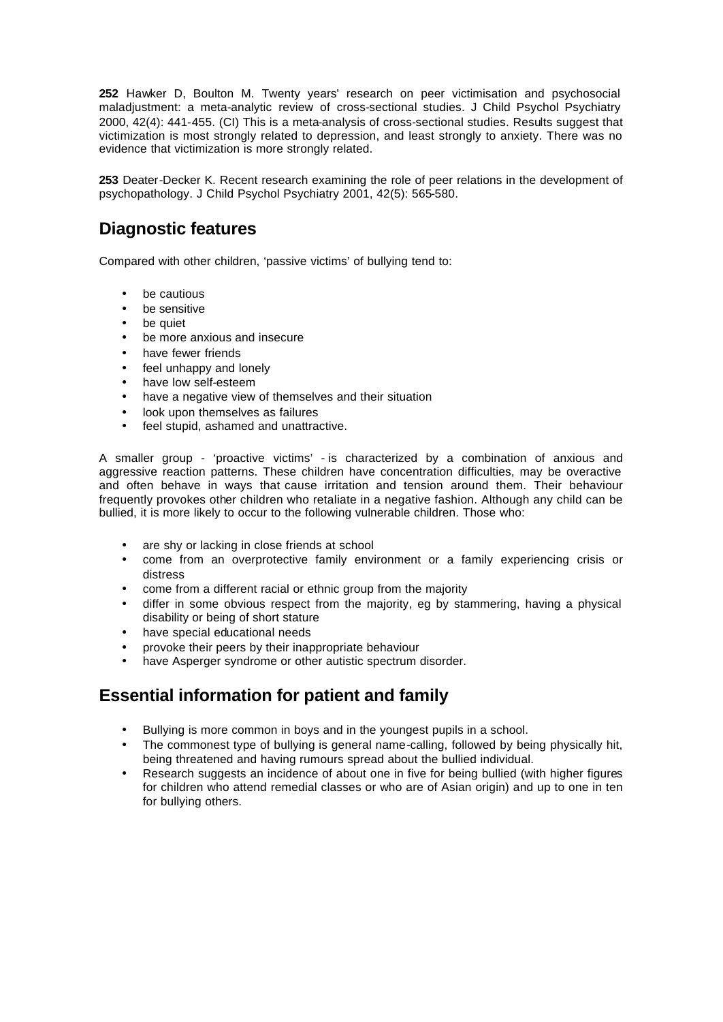**252** Hawker D, Boulton M. Twenty years' research on peer victimisation and psychosocial maladjustment: a meta-analytic review of cross-sectional studies. J Child Psychol Psychiatry 2000, 42(4): 441-455. (CI) This is a meta-analysis of cross-sectional studies. Results suggest that victimization is most strongly related to depression, and least strongly to anxiety. There was no evidence that victimization is more strongly related.

**253** Deater-Decker K. Recent research examining the role of peer relations in the development of psychopathology. J Child Psychol Psychiatry 2001, 42(5): 565-580.

# **Diagnostic features**

Compared with other children, 'passive victims' of bullying tend to:

- be cautious
- be sensitive
- be quiet
- be more anxious and insecure
- have fewer friends
- feel unhappy and lonely
- have low self-esteem
- have a negative view of themselves and their situation
- look upon themselves as failures
- feel stupid, ashamed and unattractive.

A smaller group - 'proactive victims' - is characterized by a combination of anxious and aggressive reaction patterns. These children have concentration difficulties, may be overactive and often behave in ways that cause irritation and tension around them. Their behaviour frequently provokes other children who retaliate in a negative fashion. Although any child can be bullied, it is more likely to occur to the following vulnerable children. Those who:

- are shy or lacking in close friends at school
- come from an overprotective family environment or a family experiencing crisis or distress
- come from a different racial or ethnic group from the majority
- differ in some obvious respect from the majority, eg by stammering, having a physical disability or being of short stature
- have special educational needs
- provoke their peers by their inappropriate behaviour
- have Asperger syndrome or other autistic spectrum disorder.

## **Essential information for patient and family**

- Bullying is more common in boys and in the youngest pupils in a school.
- The commonest type of bullying is general name-calling, followed by being physically hit, being threatened and having rumours spread about the bullied individual.
- Research suggests an incidence of about one in five for being bullied (with higher figures for children who attend remedial classes or who are of Asian origin) and up to one in ten for bullying others.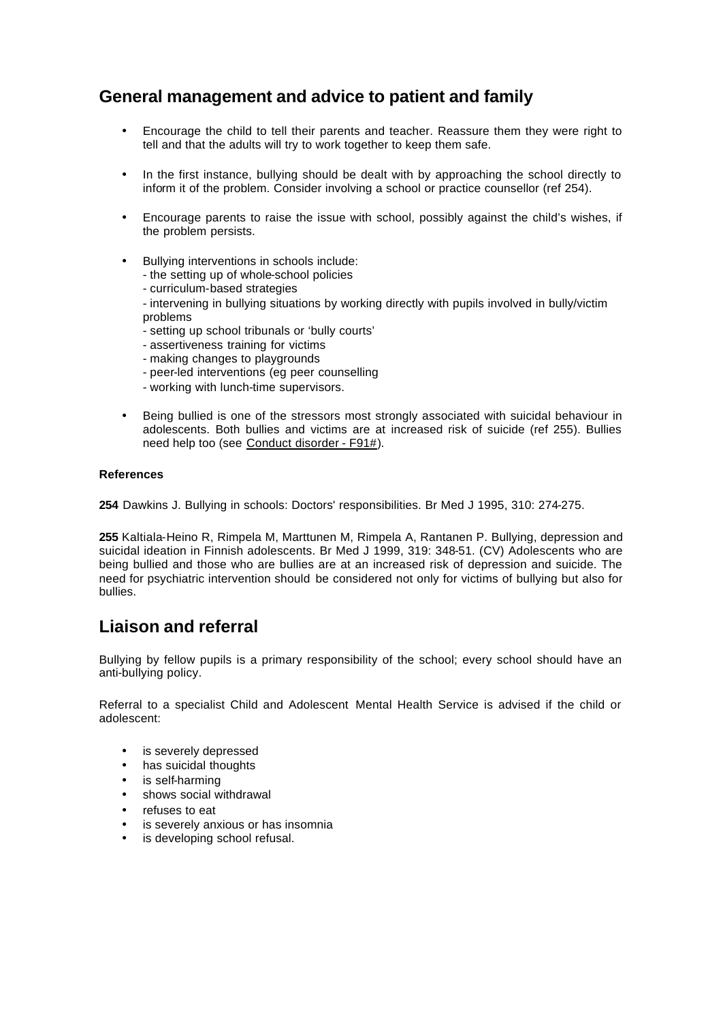## **General management and advice to patient and family**

- Encourage the child to tell their parents and teacher. Reassure them they were right to tell and that the adults will try to work together to keep them safe.
- In the first instance, bullying should be dealt with by approaching the school directly to inform it of the problem. Consider involving a school or practice counsellor (ref 254).
- Encourage parents to raise the issue with school, possibly against the child's wishes, if the problem persists.
- Bullying interventions in schools include:
	- the setting up of whole-school policies
	- curriculum-based strategies
	- intervening in bullying situations by working directly with pupils involved in bully/victim problems
	- setting up school tribunals or 'bully courts'
	- assertiveness training for victims
	- making changes to playgrounds
	- peer-led interventions (eg peer counselling
	- working with lunch-time supervisors.
- Being bullied is one of the stressors most strongly associated with suicidal behaviour in adolescents. Both bullies and victims are at increased risk of suicide (ref 255). Bullies need help too (see Conduct disorder - F91#).

#### **References**

**254** Dawkins J. Bullying in schools: Doctors' responsibilities. Br Med J 1995, 310: 274-275.

**255** Kaltiala-Heino R, Rimpela M, Marttunen M, Rimpela A, Rantanen P. Bullying, depression and suicidal ideation in Finnish adolescents. Br Med J 1999, 319: 348-51. (CV) Adolescents who are being bullied and those who are bullies are at an increased risk of depression and suicide. The need for psychiatric intervention should be considered not only for victims of bullying but also for bullies.

## **Liaison and referral**

Bullying by fellow pupils is a primary responsibility of the school; every school should have an anti-bullying policy.

Referral to a specialist Child and Adolescent Mental Health Service is advised if the child or adolescent:

- is severely depressed
- has suicidal thoughts
- is self-harming
- shows social withdrawal
- refuses to eat
- is severely anxious or has insomnia
- is developing school refusal.